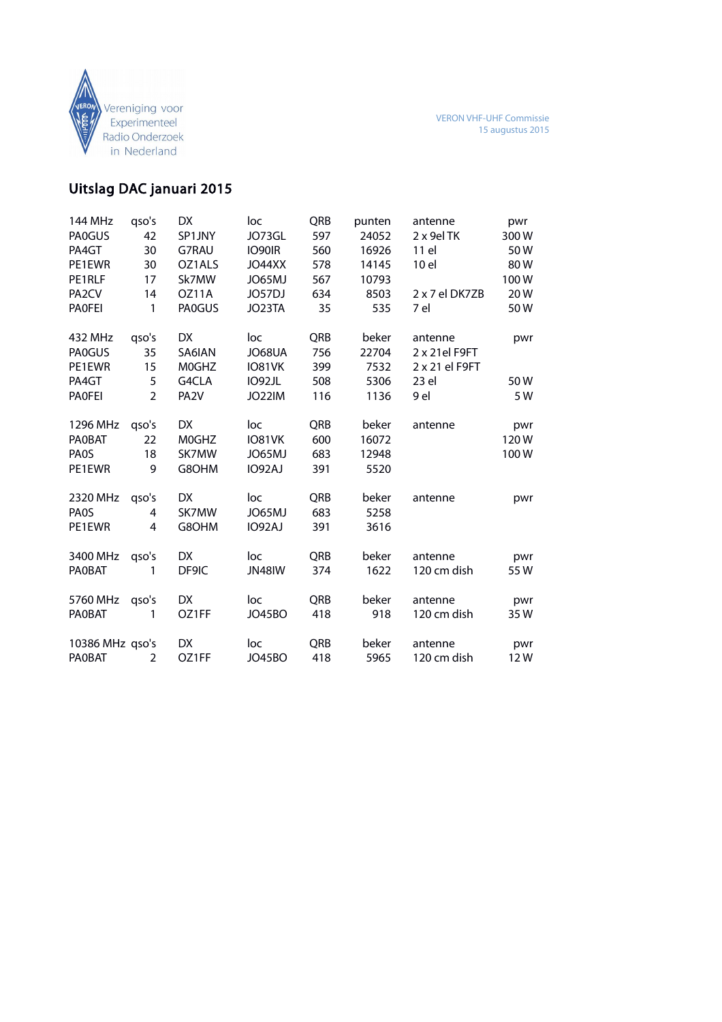

## Uitslag DAC januari 2015

| 144 MHz            | qso's          | DX.               | loc           | QRB | punten | antenne        | pwr  |
|--------------------|----------------|-------------------|---------------|-----|--------|----------------|------|
| <b>PA0GUS</b>      | 42             | SP1JNY            | JO73GL        | 597 | 24052  | 2 x 9el TK     | 300W |
| PA4GT              | 30             | G7RAU             | IO90IR        | 560 | 16926  | 11 el          | 50W  |
| PE1EWR             | 30             | OZ1ALS            | JO44XX        | 578 | 14145  | 10 el          | 80W  |
| PE1RLF             | 17             | Sk7MW             | JO65MJ        | 567 | 10793  |                | 100W |
| PA <sub>2</sub> CV | 14             | OZ11A             | JO57DJ        | 634 | 8503   | 2 x 7 el DK7ZB | 20W  |
| <b>PAOFEI</b>      | 1              | <b>PAOGUS</b>     | JO23TA        | 35  | 535    | 7 el           | 50W  |
| 432 MHz            | qso's          | DX.               | loc           | QRB | beker  | antenne        | pwr  |
| <b>PA0GUS</b>      | 35             | SA6IAN            | JO68UA        | 756 | 22704  | 2 x 21el F9FT  |      |
| PE1EWR             | 15             | M0GHZ             | IO81VK        | 399 | 7532   | 2 x 21 el F9FT |      |
| PA4GT              | 5              | G4CLA             | IO92JL        | 508 | 5306   | 23 el          | 50W  |
| <b>PAOFEI</b>      | $\mathfrak{D}$ | PA <sub>2</sub> V | JO22IM        | 116 | 1136   | 9 el           | 5 W  |
| 1296 MHz           | qso's          | DX.               | loc           | QRB | beker  | antenne        | pwr  |
| <b>PAOBAT</b>      | 22             | M0GHZ             | IO81VK        | 600 | 16072  |                | 120W |
| <b>PAOS</b>        | 18             | SK7MW             | JO65MJ        | 683 | 12948  |                | 100W |
| PE1EWR             | 9              | G8OHM             | IO92AJ        | 391 | 5520   |                |      |
| 2320 MHz           | qso's          | DX                | loc           | QRB | beker  | antenne        | pwr  |
| PA <sub>0</sub> S  | 4              | SK7MW             | JO65MJ        | 683 | 5258   |                |      |
| PE1EWR             | 4              | G8OHM             | IO92AJ        | 391 | 3616   |                |      |
| 3400 MHz           | qso's          | DX                | loc           | QRB | beker  | antenne        | pwr  |
| <b>PAOBAT</b>      | 1              | DF9IC             | <b>JN48IW</b> | 374 | 1622   | 120 cm dish    | 55W  |
| 5760 MHz           | qso's          | DX                | loc           | QRB | beker  | antenne        | pwr  |
| <b>PAOBAT</b>      | 1              | OZ1FF             | <b>JO45BO</b> | 418 | 918    | 120 cm dish    | 35 W |
| 10386 MHz qso's    |                | DX                | loc           | QRB | beker  | antenne        | pwr  |
| <b>PAOBAT</b>      | 2              | OZ1FF             | <b>JO45BO</b> | 418 | 5965   | 120 cm dish    | 12W  |
|                    |                |                   |               |     |        |                |      |